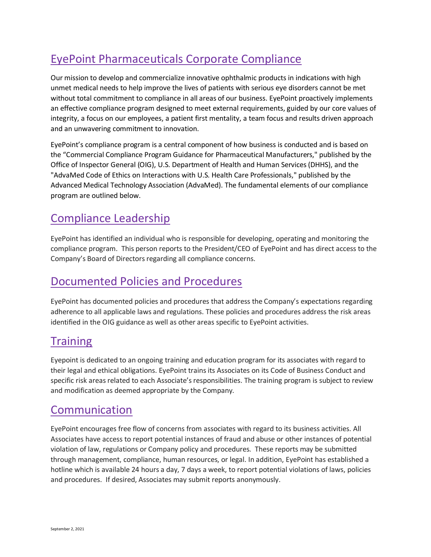# EyePoint Pharmaceuticals Corporate Compliance

Our mission to develop and commercialize innovative ophthalmic products in indications with high unmet medical needs to help improve the lives of patients with serious eye disorders cannot be met without total commitment to compliance in all areas of our business. EyePoint proactively implements an effective compliance program designed to meet external requirements, guided by our core values of integrity, a focus on our employees, a patient first mentality, a team focus and results driven approach and an unwavering commitment to innovation.

EyePoint's compliance program is a central component of how business is conducted and is based on the "Commercial Compliance Program Guidance for Pharmaceutical Manufacturers," published by the Office of Inspector General (OIG), U.S. Department of Health and Human Services (DHHS), and the "AdvaMed Code of Ethics on Interactions with U.S. Health Care Professionals," published by the Advanced Medical Technology Association (AdvaMed). The fundamental elements of our compliance program are outlined below.

## Compliance Leadership

EyePoint has identified an individual who is responsible for developing, operating and monitoring the compliance program. This person reports to the President/CEO of EyePoint and has direct access to the Company's Board of Directors regarding all compliance concerns.

## Documented Policies and Procedures

EyePoint has documented policies and procedures that address the Company's expectations regarding adherence to all applicable laws and regulations. These policies and procedures address the risk areas identified in the OIG guidance as well as other areas specific to EyePoint activities.

### **Training**

Eyepoint is dedicated to an ongoing training and education program for its associates with regard to their legal and ethical obligations. EyePoint trains its Associates on its Code of Business Conduct and specific risk areas related to each Associate's responsibilities. The training program is subject to review and modification as deemed appropriate by the Company.

### Communication

EyePoint encourages free flow of concerns from associates with regard to its business activities. All Associates have access to report potential instances of fraud and abuse or other instances of potential violation of law, regulations or Company policy and procedures. These reports may be submitted through management, compliance, human resources, or legal. In addition, EyePoint has established a hotline which is available 24 hours a day, 7 days a week, to report potential violations of laws, policies and procedures. If desired, Associates may submit reports anonymously.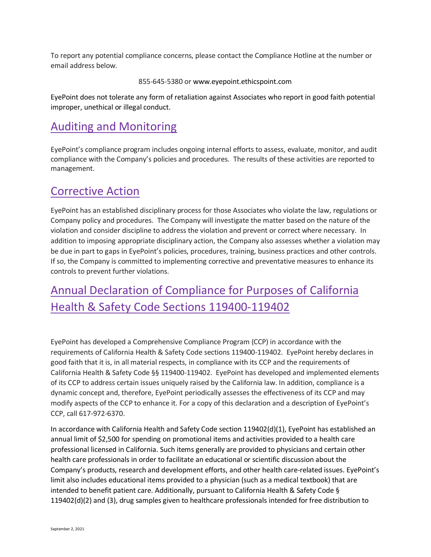To report any potential compliance concerns, please contact the Compliance Hotline at the number or email address below.

855-645-5380 or www.eyepoint.ethicspoint.com

EyePoint does not tolerate any form of retaliation against Associates who report in good faith potential improper, unethical or illegal conduct.

### Auditing and Monitoring

EyePoint's compliance program includes ongoing internal efforts to assess, evaluate, monitor, and audit compliance with the Company's policies and procedures. The results of these activities are reported to management.

#### Corrective Action

EyePoint has an established disciplinary process for those Associates who violate the law, regulations or Company policy and procedures. The Company will investigate the matter based on the nature of the violation and consider discipline to address the violation and prevent or correct where necessary. In addition to imposing appropriate disciplinary action, the Company also assesses whether a violation may be due in part to gaps in EyePoint's policies, procedures, training, business practices and other controls. If so, the Company is committed to implementing corrective and preventative measures to enhance its controls to prevent further violations.

# Annual Declaration of Compliance for Purposes of California Health & Safety Code Sections 119400-119402

EyePoint has developed a Comprehensive Compliance Program (CCP) in accordance with the requirements of California Health & Safety Code sections 119400-119402. EyePoint hereby declares in good faith that it is, in all material respects, in compliance with its CCP and the requirements of California Health & Safety Code §§ 119400-119402. EyePoint has developed and implemented elements of its CCP to address certain issues uniquely raised by the California law. In addition, compliance is a dynamic concept and, therefore, EyePoint periodically assesses the effectiveness of its CCP and may modify aspects of the CCP to enhance it. For a copy of this declaration and a description of EyePoint's CCP, call 617-972-6370.

In accordance with California Health and Safety Code section 119402(d)(1), EyePoint has established an annual limit of \$2,500 for spending on promotional items and activities provided to a health care professional licensed in California. Such items generally are provided to physicians and certain other health care professionals in order to facilitate an educational or scientific discussion about the Company's products, research and development efforts, and other health care-related issues. EyePoint's limit also includes educational items provided to a physician (such as a medical textbook) that are intended to benefit patient care. Additionally, pursuant to California Health & Safety Code § 119402(d)(2) and (3), drug samples given to healthcare professionals intended for free distribution to